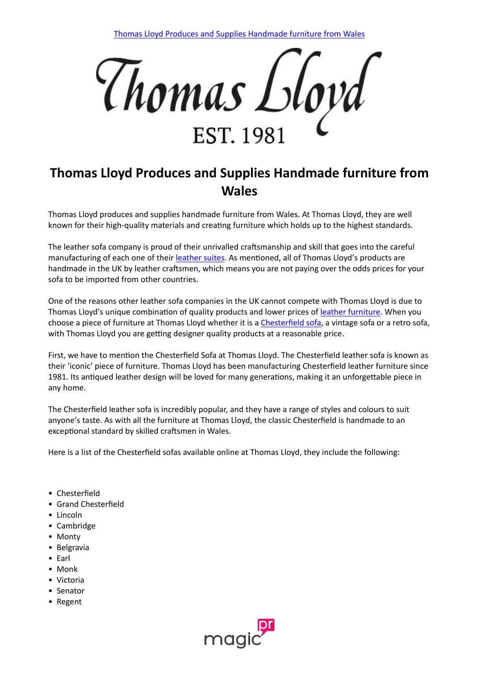

## **Thomas Lloyd Produces and Supplies Handmade furniture from Wales**

Thomas Lloyd produces and supplies handmade furniture from Wales. At Thomas Lloyd, they are well known for their high-quality materials and creating furniture which holds up to the highest standards.

The leather sofa company is proud of their unrivalled craftsmanship and skill that goes into the careful manufacturing of each one of their [leather](https://www.thomaslloyd.com/collections/chesterfield-leather-sofas/) [suites](https://www.thomaslloyd.com/collections/chesterfield-leather-sofas/). As mentioned, all of Thomas Lloyd's products are handmade in the UK by leather craftsmen, which means you are not paying over the odds prices for your sofa to be imported from other countries.

One of the reasons other leather sofa companies in the UK cannot compete with Thomas Lloyd is due to Thomas Lloyd's unique combination of quality products and lower prices of [leather](https://www.thomaslloyd.com/collections/chesterfield-leather-sofas/) [furniture.](https://www.thomaslloyd.com/collections/chesterfield-leather-sofas/) When you choose a piece of furniture at Thomas Lloyd whether it is a [Chesterfield](https://www.thomaslloyd.com/collections/chesterfield-leather-sofas/) [sofa](https://www.thomaslloyd.com/collections/chesterfield-leather-sofas/), a vintage sofa or a retro sofa, with Thomas Lloyd you are getting designer quality products at a reasonable price.

First, we have to mention the Chesterfield Sofa at Thomas Lloyd. The Chesterfield leather sofa is known as their 'iconic' piece of furniture. Thomas Lloyd has been manufacturing Chesterfield leather furniture since 1981. Its antiqued leather design will be loved for many generations, making it an unforgettable piece in any home.

The Chesterfield leather sofa is incredibly popular, and they have a range of styles and colours to suit anyone's taste. As with all the furniture at Thomas Lloyd, the classic Chesterfield is handmade to an exceptional standard by skilled craftsmen in Wales.

Here is a list of the Chesterfield sofas available online at Thomas Lloyd, they include the following:

- Chesterfield
- Grand Chesterfield
- Lincoln
- Cambridge
- Monty
- Belgravia
- Earl
- Monk
- Victoria
- Senator
- Regent